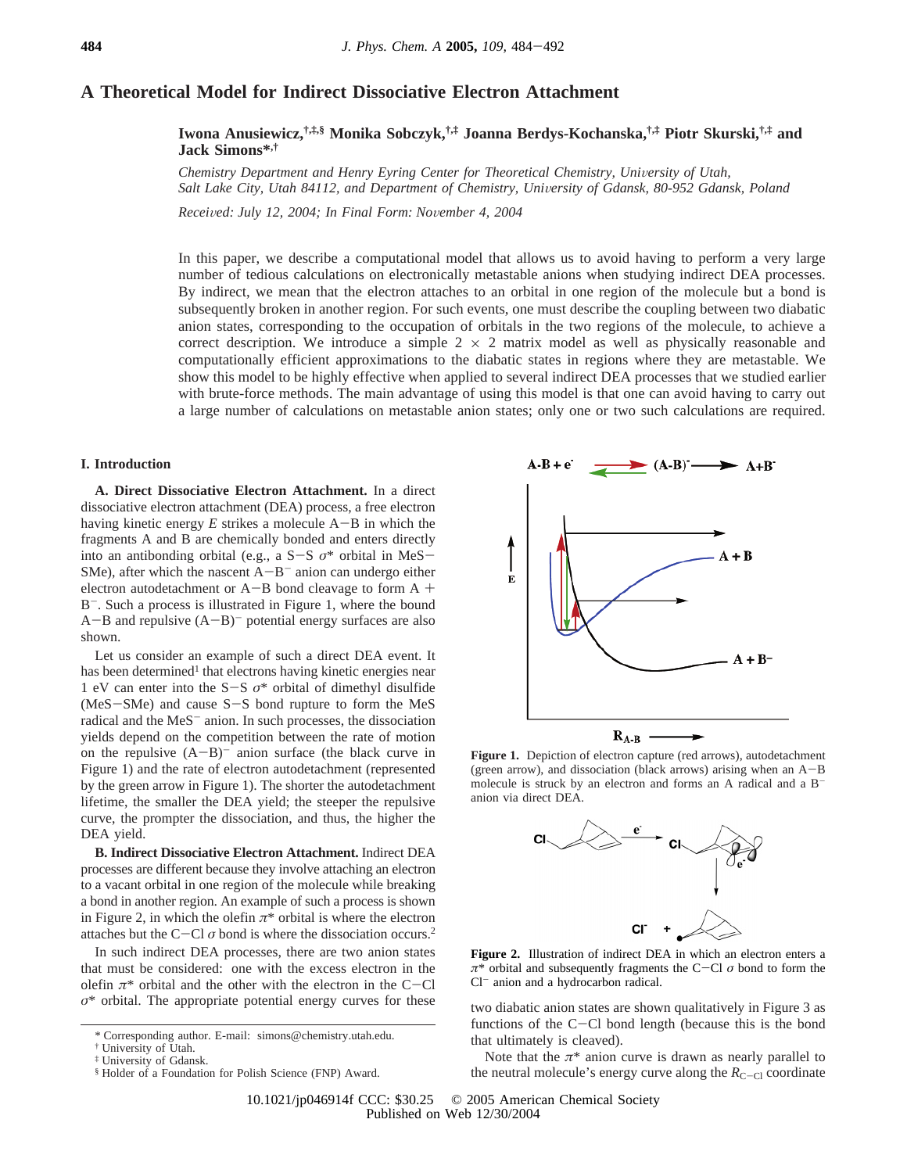# **A Theoretical Model for Indirect Dissociative Electron Attachment**

**Iwona Anusiewicz,†,‡,§ Monika Sobczyk,†,‡ Joanna Berdys-Kochanska,†,‡ Piotr Skurski,†,‡ and Jack Simons\*,†**

*Chemistry Department and Henry Eyring Center for Theoretical Chemistry, University of Utah,* Salt Lake City, Utah 84112, and Department of Chemistry, University of Gdansk, 80-952 Gdansk, Poland

*Recei*V*ed: July 12, 2004; In Final Form: No*V*ember 4, 2004*

In this paper, we describe a computational model that allows us to avoid having to perform a very large number of tedious calculations on electronically metastable anions when studying indirect DEA processes. By indirect, we mean that the electron attaches to an orbital in one region of the molecule but a bond is subsequently broken in another region. For such events, one must describe the coupling between two diabatic anion states, corresponding to the occupation of orbitals in the two regions of the molecule, to achieve a correct description. We introduce a simple  $2 \times 2$  matrix model as well as physically reasonable and computationally efficient approximations to the diabatic states in regions where they are metastable. We show this model to be highly effective when applied to several indirect DEA processes that we studied earlier with brute-force methods. The main advantage of using this model is that one can avoid having to carry out a large number of calculations on metastable anion states; only one or two such calculations are required.

## **I. Introduction**

**A. Direct Dissociative Electron Attachment.** In a direct dissociative electron attachment (DEA) process, a free electron having kinetic energy *E* strikes a molecule A-B in which the fragments A and B are chemically bonded and enters directly into an antibonding orbital (e.g., a S-<sup>S</sup> *<sup>σ</sup>*\* orbital in MeS-SMe), after which the nascent  $A-B^-$  anion can undergo either electron autodetachment or A-B bond cleavage to form A + B<sup>-</sup>. Such a process is illustrated in Figure 1, where the bound  $A-B$  and repulsive  $(A-B)^-$  potential energy surfaces are also shown.

Let us consider an example of such a direct DEA event. It has been determined<sup>1</sup> that electrons having kinetic energies near 1 eV can enter into the S-<sup>S</sup> *<sup>σ</sup>*\* orbital of dimethyl disulfide (MeS-SMe) and cause S-S bond rupture to form the MeS radical and the MeS<sup>-</sup> anion. In such processes, the dissociation yields depend on the competition between the rate of motion on the repulsive  $(A-B)^-$  anion surface (the black curve in Figure 1) and the rate of electron autodetachment (represented by the green arrow in Figure 1). The shorter the autodetachment lifetime, the smaller the DEA yield; the steeper the repulsive curve, the prompter the dissociation, and thus, the higher the DEA yield.

**B. Indirect Dissociative Electron Attachment.** Indirect DEA processes are different because they involve attaching an electron to a vacant orbital in one region of the molecule while breaking a bond in another region. An example of such a process is shown in Figure 2, in which the olefin  $\pi^*$  orbital is where the electron attaches but the C-Cl  $\sigma$  bond is where the dissociation occurs.<sup>2</sup>

In such indirect DEA processes, there are two anion states that must be considered: one with the excess electron in the olefin  $\pi^*$  orbital and the other with the electron in the C-Cl  $\sigma^*$  orbital. The appropriate potential energy curves for these



Figure 1. Depiction of electron capture (red arrows), autodetachment (green arrow), and dissociation (black arrows) arising when an A-<sup>B</sup> molecule is struck by an electron and forms an A radical and a Banion via direct DEA.



**Figure 2.** Illustration of indirect DEA in which an electron enters a *<sup>π</sup>*\* orbital and subsequently fragments the C-Cl *<sup>σ</sup>* bond to form the Cl<sup>-</sup> anion and a hydrocarbon radical.

*two diabatic anion states are shown qualitatively in Figure 3 as* functions of the C-Cl bond length (because this is the bond that ultimately is cleaved).

Note that the  $\pi^*$  anion curve is drawn as nearly parallel to the neutral molecule's energy curve along the  $R_{C-Cl}$  coordinate

<sup>\*</sup> Corresponding author. E-mail: simons@chemistry.utah.edu.

<sup>†</sup> University of Utah.

<sup>‡</sup> University of Gdansk.

<sup>§</sup> Holder of a Foundation for Polish Science (FNP) Award.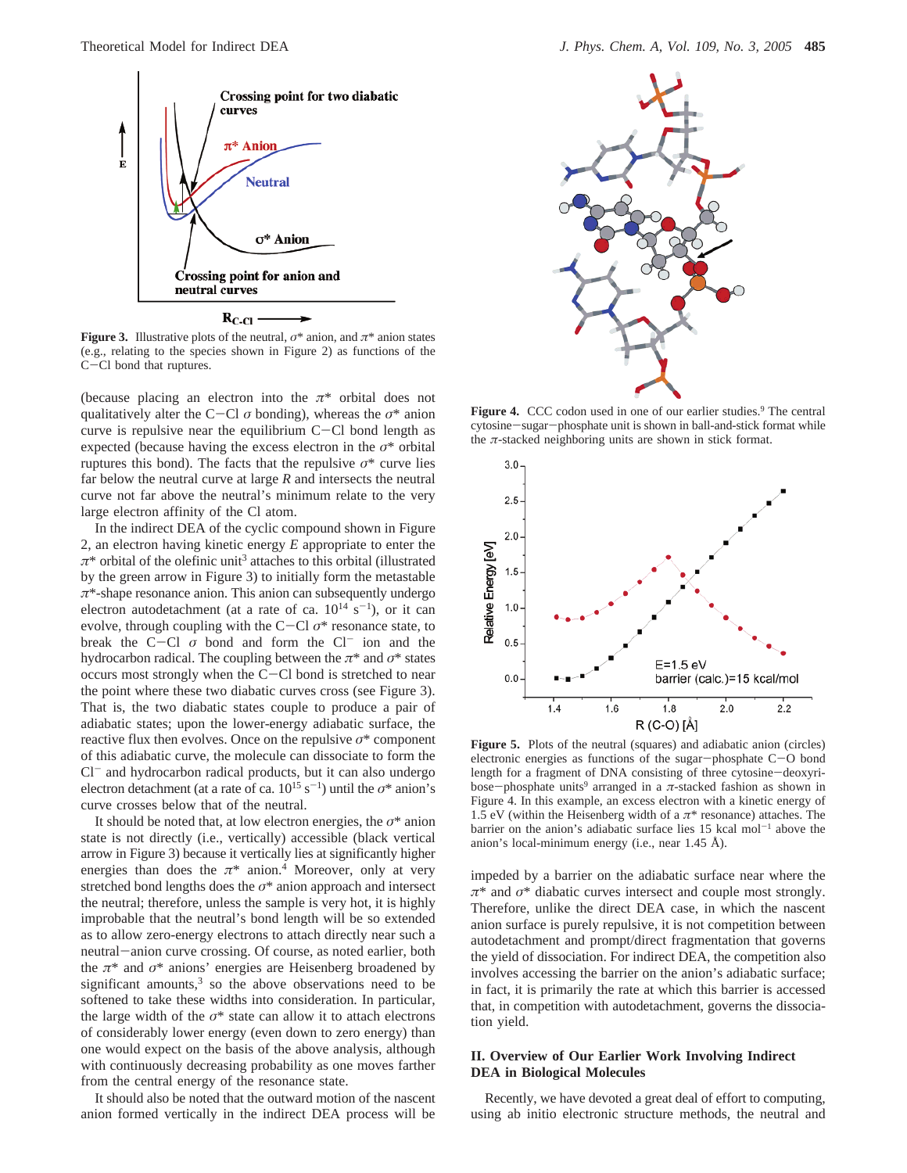

 $R_{C\text{-Cl}}$ .

**Figure 3.** Illustrative plots of the neutral,  $\sigma^*$  anion, and  $\pi^*$  anion states (e.g., relating to the species shown in Figure 2) as functions of the <sup>C</sup>-Cl bond that ruptures.

(because placing an electron into the  $\pi^*$  orbital does not qualitatively alter the C-Cl  $\sigma$  bonding), whereas the  $\sigma^*$  anion curve is repulsive near the equilibrium  $C-Cl$  bond length as expected (because having the excess electron in the *σ*\* orbital ruptures this bond). The facts that the repulsive  $\sigma^*$  curve lies far below the neutral curve at large *R* and intersects the neutral curve not far above the neutral's minimum relate to the very large electron affinity of the Cl atom.

In the indirect DEA of the cyclic compound shown in Figure 2, an electron having kinetic energy *E* appropriate to enter the *π*\* orbital of the olefinic unit3 attaches to this orbital (illustrated by the green arrow in Figure 3) to initially form the metastable *π*\*-shape resonance anion. This anion can subsequently undergo electron autodetachment (at a rate of ca.  $10^{14}$  s<sup>-1</sup>), or it can evolve, through coupling with the C-Cl *<sup>σ</sup>*\* resonance state, to break the C-Cl  $\sigma$  bond and form the Cl<sup>-</sup> ion and the hydrocarbon radical. The coupling between the *π*\* and *σ*\* states occurs most strongly when the C-Cl bond is stretched to near the point where these two diabatic curves cross (see Figure 3). That is, the two diabatic states couple to produce a pair of adiabatic states; upon the lower-energy adiabatic surface, the reactive flux then evolves. Once on the repulsive *σ*\* component of this adiabatic curve, the molecule can dissociate to form the Cl<sup>-</sup> and hydrocarbon radical products, but it can also undergo electron detachment (at a rate of ca.  $10^{15}$  s<sup>-1</sup>) until the  $\sigma^*$  anion's curve crosses below that of the neutral.

It should be noted that, at low electron energies, the *σ*\* anion state is not directly (i.e., vertically) accessible (black vertical arrow in Figure 3) because it vertically lies at significantly higher energies than does the  $\pi^*$  anion.<sup>4</sup> Moreover, only at very stretched bond lengths does the  $\sigma^*$  anion approach and intersect the neutral; therefore, unless the sample is very hot, it is highly improbable that the neutral's bond length will be so extended as to allow zero-energy electrons to attach directly near such a neutral-anion curve crossing. Of course, as noted earlier, both the *π*\* and *σ*\* anions' energies are Heisenberg broadened by significant amounts, $3$  so the above observations need to be softened to take these widths into consideration. In particular, the large width of the  $\sigma^*$  state can allow it to attach electrons of considerably lower energy (even down to zero energy) than one would expect on the basis of the above analysis, although with continuously decreasing probability as one moves farther from the central energy of the resonance state.

It should also be noted that the outward motion of the nascent anion formed vertically in the indirect DEA process will be



**Figure 4.** CCC codon used in one of our earlier studies.<sup>9</sup> The central cytosine-sugar-phosphate unit is shown in ball-and-stick format while the *π*-stacked neighboring units are shown in stick format.



**Figure 5.** Plots of the neutral (squares) and adiabatic anion (circles) electronic energies as functions of the sugar-phosphate C-O bond length for a fragment of DNA consisting of three cytosine-deoxyribose-phosphate units9 arranged in a *<sup>π</sup>*-stacked fashion as shown in Figure 4. In this example, an excess electron with a kinetic energy of 1.5 eV (within the Heisenberg width of a *π*\* resonance) attaches. The barrier on the anion's adiabatic surface lies  $15$  kcal mol<sup>-1</sup> above the anion's local-minimum energy (i.e., near 1.45 Å).

impeded by a barrier on the adiabatic surface near where the *π*\* and *σ*\* diabatic curves intersect and couple most strongly. Therefore, unlike the direct DEA case, in which the nascent anion surface is purely repulsive, it is not competition between autodetachment and prompt/direct fragmentation that governs the yield of dissociation. For indirect DEA, the competition also involves accessing the barrier on the anion's adiabatic surface; in fact, it is primarily the rate at which this barrier is accessed that, in competition with autodetachment, governs the dissociation yield.

### **II. Overview of Our Earlier Work Involving Indirect DEA in Biological Molecules**

Recently, we have devoted a great deal of effort to computing, using ab initio electronic structure methods, the neutral and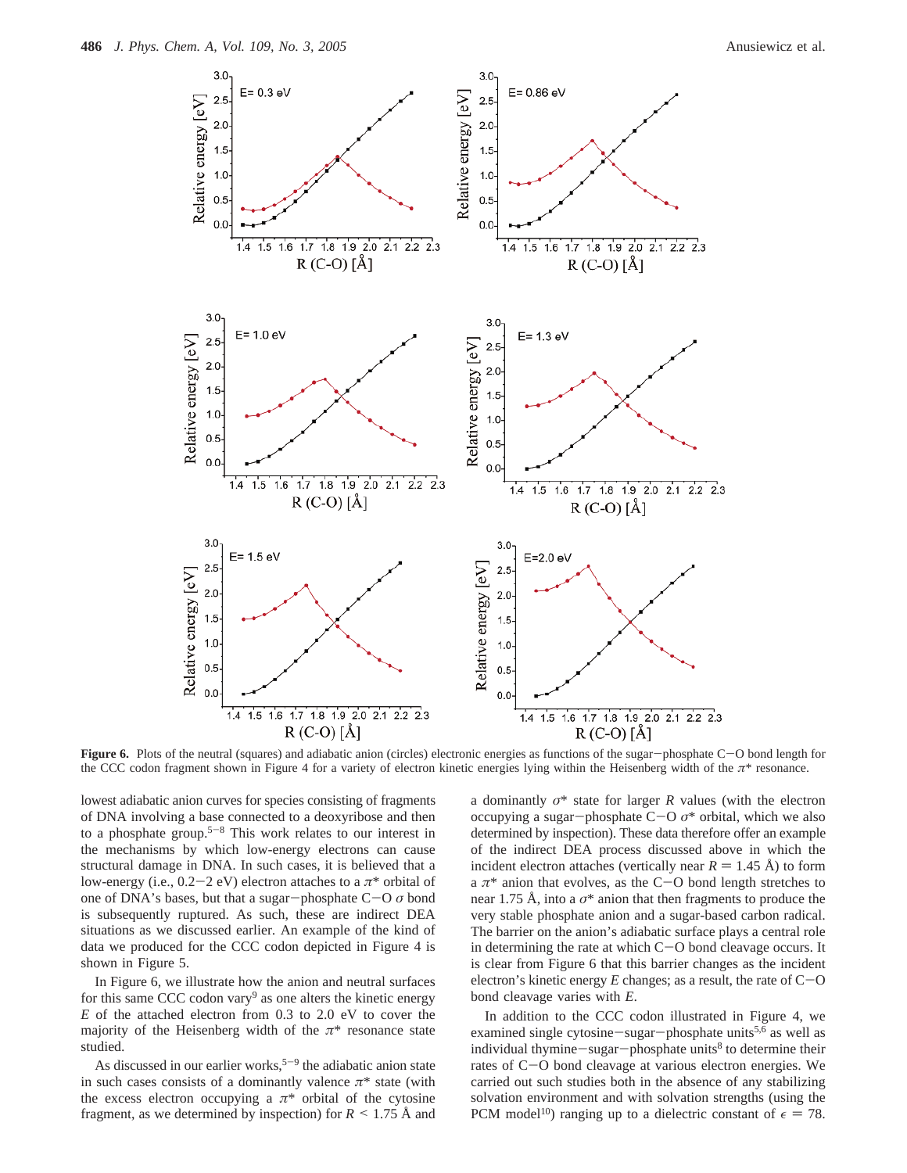

**Figure 6.** Plots of the neutral (squares) and adiabatic anion (circles) electronic energies as functions of the sugar-phosphate C-O bond length for the CCC codon fragment shown in Figure 4 for a variety of electron kinetic energies lying within the Heisenberg width of the *π*\* resonance.

lowest adiabatic anion curves for species consisting of fragments of DNA involving a base connected to a deoxyribose and then to a phosphate group.<sup>5-8</sup> This work relates to our interest in the mechanisms by which low-energy electrons can cause structural damage in DNA. In such cases, it is believed that a low-energy (i.e.,  $0.2-2$  eV) electron attaches to a  $\pi^*$  orbital of one of DNA's bases, but that a sugar-phosphate C-<sup>O</sup> *<sup>σ</sup>* bond is subsequently ruptured. As such, these are indirect DEA situations as we discussed earlier. An example of the kind of data we produced for the CCC codon depicted in Figure 4 is shown in Figure 5.

In Figure 6, we illustrate how the anion and neutral surfaces for this same CCC codon vary<sup>9</sup> as one alters the kinetic energy *E* of the attached electron from 0.3 to 2.0 eV to cover the majority of the Heisenberg width of the  $\pi^*$  resonance state studied.

As discussed in our earlier works,<sup> $5-9$ </sup> the adiabatic anion state in such cases consists of a dominantly valence  $\pi^*$  state (with the excess electron occupying a  $\pi^*$  orbital of the cytosine fragment, as we determined by inspection) for  $R \leq 1.75 \text{ Å}$  and

a dominantly *σ*\* state for larger *R* values (with the electron occupying a sugar-phosphate C-<sup>O</sup> *<sup>σ</sup>*\* orbital, which we also determined by inspection). These data therefore offer an example of the indirect DEA process discussed above in which the incident electron attaches (vertically near  $R = 1.45$  Å) to form a  $\pi^*$  anion that evolves, as the C-O bond length stretches to near 1.75 Å, into a  $\sigma^*$  anion that then fragments to produce the very stable phosphate anion and a sugar-based carbon radical. The barrier on the anion's adiabatic surface plays a central role in determining the rate at which  $C-O$  bond cleavage occurs. It is clear from Figure 6 that this barrier changes as the incident electron's kinetic energy  $E$  changes; as a result, the rate of  $C$ -O bond cleavage varies with *E*.

In addition to the CCC codon illustrated in Figure 4, we examined single cytosine-sugar-phosphate units<sup>5,6</sup> as well as individual thymine-sugar-phosphate units $8$  to determine their rates of C-O bond cleavage at various electron energies. We carried out such studies both in the absence of any stabilizing solvation environment and with solvation strengths (using the PCM model<sup>10</sup>) ranging up to a dielectric constant of  $\epsilon = 78$ .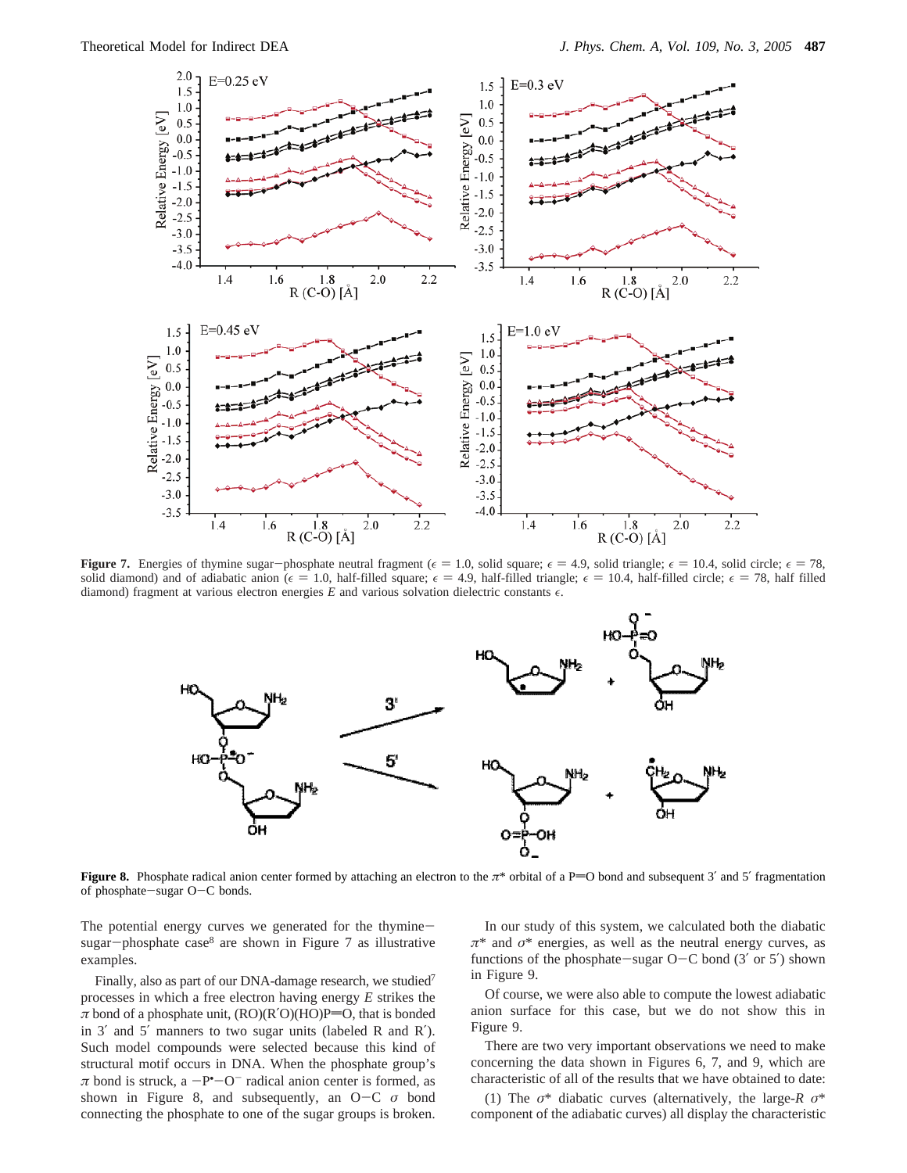

**Figure 7.** Energies of thymine sugar-phosphate neutral fragment ( $\epsilon = 1.0$ , solid square;  $\epsilon = 4.9$ , solid triangle;  $\epsilon = 10.4$ , solid circle;  $\epsilon = 78$ , solid diamond) and of adiabatic anion ( $\epsilon = 1.0$ , half-filled square;  $\epsilon = 4.9$ , half-filled triangle;  $\epsilon = 10.4$ , half-filled circle;  $\epsilon = 78$ , half filled diamond) fragment at various electron energies  $E$  and various solvation dielectric constants  $\epsilon$ .



**Figure 8.** Phosphate radical anion center formed by attaching an electron to the  $\pi^*$  orbital of a P=O bond and subsequent 3' and 5' fragmentation of phosphate-sugar O-C bonds.

The potential energy curves we generated for the thyminesugar-phosphate case $8$  are shown in Figure 7 as illustrative examples.

Finally, also as part of our DNA-damage research, we studied<sup>7</sup> processes in which a free electron having energy *E* strikes the  $\pi$  bond of a phosphate unit,  $(RO)(R'O)(HO)P=O$ , that is bonded in 3′ and 5′ manners to two sugar units (labeled R and R′). Such model compounds were selected because this kind of structural motif occurs in DNA. When the phosphate group's  $\pi$  bond is struck, a  $-P^{\bullet}-O^{-}$  radical anion center is formed, as<br>shown in Figure 8, and subsequently, an  $O-C \sigma$  bond shown in Figure 8, and subsequently, an O-<sup>C</sup> *<sup>σ</sup>* bond connecting the phosphate to one of the sugar groups is broken.

In our study of this system, we calculated both the diabatic *π*\* and *σ*\* energies, as well as the neutral energy curves, as functions of the phosphate-sugar  $O-C$  bond (3' or 5') shown in Figure 9.

Of course, we were also able to compute the lowest adiabatic anion surface for this case, but we do not show this in Figure 9.

There are two very important observations we need to make concerning the data shown in Figures 6, 7, and 9, which are characteristic of all of the results that we have obtained to date:

(1) The *σ*\* diabatic curves (alternatively, the large-*R σ*\* component of the adiabatic curves) all display the characteristic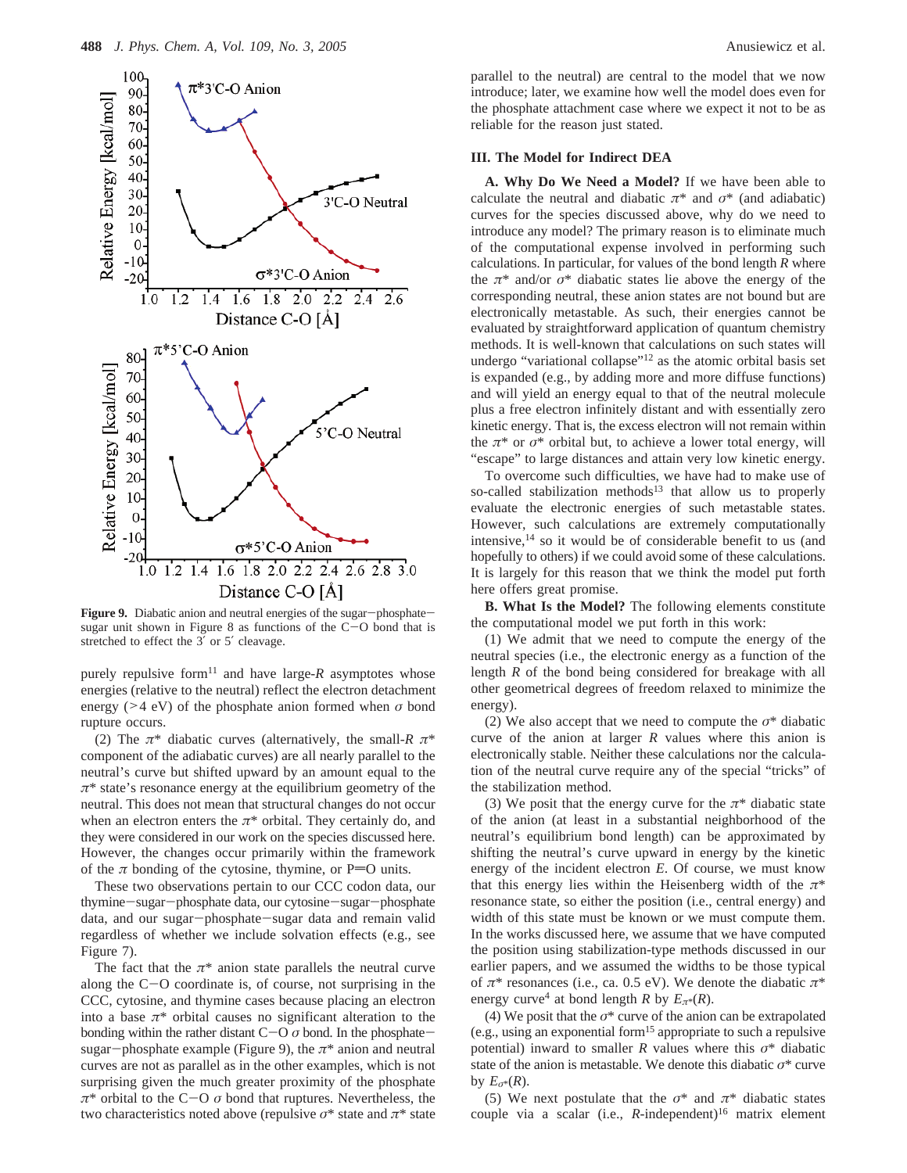

**Figure 9.** Diabatic anion and neutral energies of the sugar-phosphatesugar unit shown in Figure 8 as functions of the C-O bond that is stretched to effect the 3′ or 5′ cleavage.

purely repulsive form<sup>11</sup> and have large- $R$  asymptotes whose energies (relative to the neutral) reflect the electron detachment energy (>4 eV) of the phosphate anion formed when *<sup>σ</sup>* bond rupture occurs.

(2) The  $\pi^*$  diabatic curves (alternatively, the small-*R*  $\pi^*$ component of the adiabatic curves) are all nearly parallel to the neutral's curve but shifted upward by an amount equal to the *π*\* state's resonance energy at the equilibrium geometry of the neutral. This does not mean that structural changes do not occur when an electron enters the  $\pi^*$  orbital. They certainly do, and they were considered in our work on the species discussed here. However, the changes occur primarily within the framework of the  $\pi$  bonding of the cytosine, thymine, or P=O units.

These two observations pertain to our CCC codon data, our thymine-sugar-phosphate data, our cytosine-sugar-phosphate data, and our sugar-phosphate-sugar data and remain valid regardless of whether we include solvation effects (e.g., see Figure 7).

The fact that the  $\pi^*$  anion state parallels the neutral curve along the C-O coordinate is, of course, not surprising in the CCC, cytosine, and thymine cases because placing an electron into a base  $\pi^*$  orbital causes no significant alteration to the bonding within the rather distant  $C-O\sigma$  bond. In the phosphatesugar-phosphate example (Figure 9), the  $\pi^*$  anion and neutral curves are not as parallel as in the other examples, which is not surprising given the much greater proximity of the phosphate  $π^*$  orbital to the C-O  $σ$  bond that ruptures. Nevertheless, the two characteristics noted above (repulsive  $\sigma^*$  state and  $\pi^*$  state

parallel to the neutral) are central to the model that we now introduce; later, we examine how well the model does even for the phosphate attachment case where we expect it not to be as reliable for the reason just stated.

## **III. The Model for Indirect DEA**

**A. Why Do We Need a Model?** If we have been able to calculate the neutral and diabatic  $\pi^*$  and  $\sigma^*$  (and adiabatic) curves for the species discussed above, why do we need to introduce any model? The primary reason is to eliminate much of the computational expense involved in performing such calculations. In particular, for values of the bond length *R* where the  $\pi^*$  and/or  $\sigma^*$  diabatic states lie above the energy of the corresponding neutral, these anion states are not bound but are electronically metastable. As such, their energies cannot be evaluated by straightforward application of quantum chemistry methods. It is well-known that calculations on such states will undergo "variational collapse"12 as the atomic orbital basis set is expanded (e.g., by adding more and more diffuse functions) and will yield an energy equal to that of the neutral molecule plus a free electron infinitely distant and with essentially zero kinetic energy. That is, the excess electron will not remain within the  $\pi^*$  or  $\sigma^*$  orbital but, to achieve a lower total energy, will "escape" to large distances and attain very low kinetic energy.

To overcome such difficulties, we have had to make use of so-called stabilization methods<sup>13</sup> that allow us to properly evaluate the electronic energies of such metastable states. However, such calculations are extremely computationally intensive, $14$  so it would be of considerable benefit to us (and hopefully to others) if we could avoid some of these calculations. It is largely for this reason that we think the model put forth here offers great promise.

**B. What Is the Model?** The following elements constitute the computational model we put forth in this work:

(1) We admit that we need to compute the energy of the neutral species (i.e., the electronic energy as a function of the length *R* of the bond being considered for breakage with all other geometrical degrees of freedom relaxed to minimize the energy).

(2) We also accept that we need to compute the *σ*\* diabatic curve of the anion at larger *R* values where this anion is electronically stable. Neither these calculations nor the calculation of the neutral curve require any of the special "tricks" of the stabilization method.

(3) We posit that the energy curve for the  $\pi^*$  diabatic state of the anion (at least in a substantial neighborhood of the neutral's equilibrium bond length) can be approximated by shifting the neutral's curve upward in energy by the kinetic energy of the incident electron *E*. Of course, we must know that this energy lies within the Heisenberg width of the *π*\* resonance state, so either the position (i.e., central energy) and width of this state must be known or we must compute them. In the works discussed here, we assume that we have computed the position using stabilization-type methods discussed in our earlier papers, and we assumed the widths to be those typical of *π*\* resonances (i.e., ca. 0.5 eV). We denote the diabatic *π*\* energy curve<sup>4</sup> at bond length *R* by  $E_{\pi^*}(R)$ .

(4) We posit that the *σ*\* curve of the anion can be extrapolated (e.g., using an exponential form15 appropriate to such a repulsive potential) inward to smaller *R* values where this  $\sigma^*$  diabatic state of the anion is metastable. We denote this diabatic  $\sigma^*$  curve by  $E_{\sigma^*}(R)$ .

(5) We next postulate that the  $\sigma^*$  and  $\pi^*$  diabatic states couple via a scalar (i.e.,  $R$ -independent)<sup>16</sup> matrix element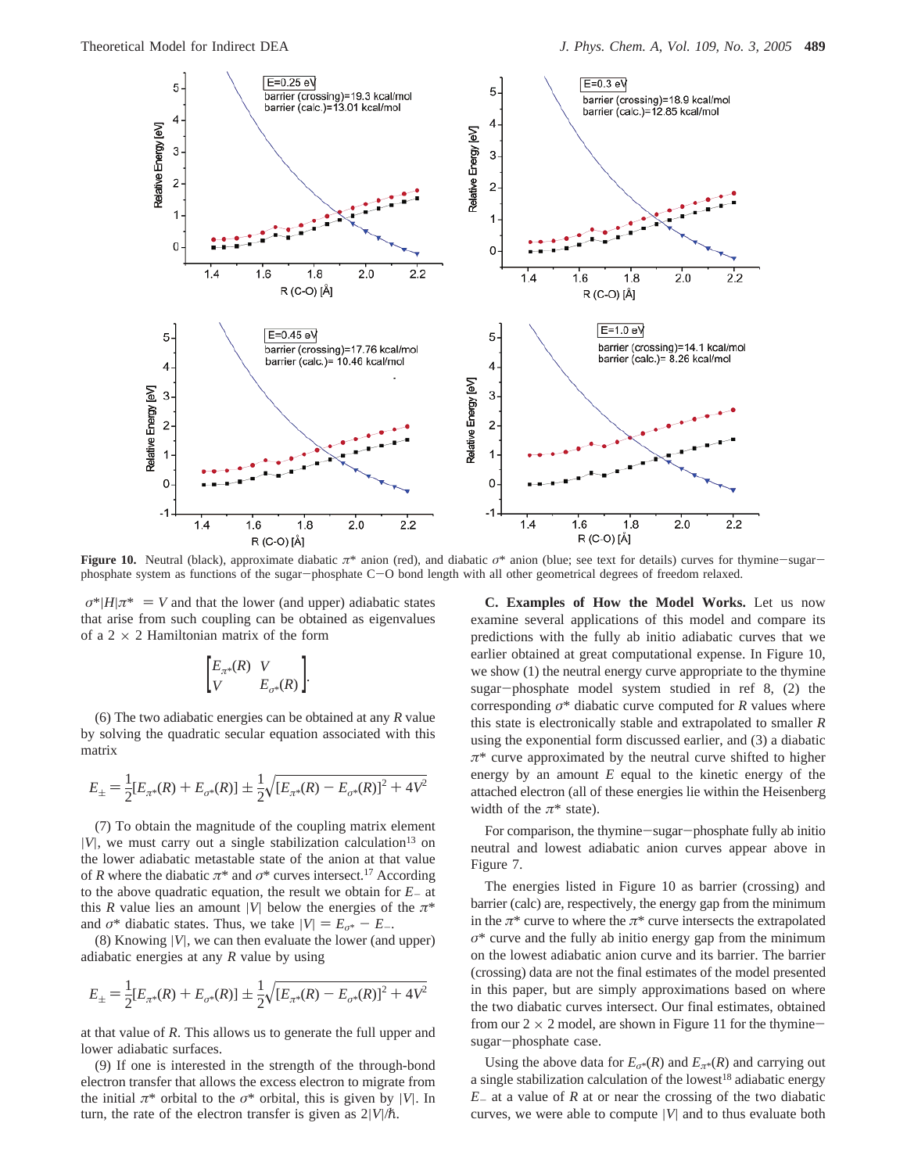

**Figure 10.** Neutral (black), approximate diabatic *<sup>π</sup>*\* anion (red), and diabatic *<sup>σ</sup>*\* anion (blue; see text for details) curves for thymine-sugarphosphate system as functions of the sugar-phosphate C-O bond length with all other geometrical degrees of freedom relaxed.

 $\langle \sigma^*|H|\pi^*\rangle = V$  and that the lower (and upper) adiabatic states that arise from such coupling can be obtained as eigenvalues of a 2  $\times$  2 Hamiltonian matrix of the form

$$
\begin{bmatrix} E_{\pi^*}(R) & V \\ V & E_{\sigma^*}(R) \end{bmatrix}.
$$

(6) The two adiabatic energies can be obtained at any *R* value by solving the quadratic secular equation associated with this matrix

$$
E_{\pm} = \frac{1}{2} [E_{\pi^*}(R) + E_{\sigma^*}(R)] \pm \frac{1}{2} \sqrt{[E_{\pi^*}(R) - E_{\sigma^*}(R)]^2 + 4V^2}
$$

(7) To obtain the magnitude of the coupling matrix element  $|V|$ , we must carry out a single stabilization calculation<sup>13</sup> on the lower adiabatic metastable state of the anion at that value of *R* where the diabatic  $\pi^*$  and  $\sigma^*$  curves intersect.<sup>17</sup> According to the above quadratic equation, the result we obtain for *<sup>E</sup>*- at this *R* value lies an amount |*V*| below the energies of the  $\pi^*$ and  $\sigma^*$  diabatic states. Thus, we take  $|V| = E_{\sigma^*} - E_{-}$ .

(8) Knowing |*V*|, we can then evaluate the lower (and upper) adiabatic energies at any *R* value by using

$$
E_{\pm} = \frac{1}{2} [E_{\pi^*}(R) + E_{\sigma^*}(R)] \pm \frac{1}{2} \sqrt{[E_{\pi^*}(R) - E_{\sigma^*}(R)]^2 + 4V^2}
$$

at that value of *R*. This allows us to generate the full upper and lower adiabatic surfaces.

(9) If one is interested in the strength of the through-bond electron transfer that allows the excess electron to migrate from the initial  $\pi^*$  orbital to the  $\sigma^*$  orbital, this is given by |*V*|. In turn, the rate of the electron transfer is given as  $2|V|/\hbar$ .

**C. Examples of How the Model Works.** Let us now examine several applications of this model and compare its predictions with the fully ab initio adiabatic curves that we earlier obtained at great computational expense. In Figure 10, we show (1) the neutral energy curve appropriate to the thymine sugar-phosphate model system studied in ref 8, (2) the corresponding *σ*\* diabatic curve computed for *R* values where this state is electronically stable and extrapolated to smaller *R* using the exponential form discussed earlier, and (3) a diabatic *π*\* curve approximated by the neutral curve shifted to higher energy by an amount *E* equal to the kinetic energy of the attached electron (all of these energies lie within the Heisenberg width of the  $\pi^*$  state).

For comparison, the thymine-sugar-phosphate fully ab initio neutral and lowest adiabatic anion curves appear above in Figure 7.

The energies listed in Figure 10 as barrier (crossing) and barrier (calc) are, respectively, the energy gap from the minimum in the  $\pi^*$  curve to where the  $\pi^*$  curve intersects the extrapolated *σ*\* curve and the fully ab initio energy gap from the minimum on the lowest adiabatic anion curve and its barrier. The barrier (crossing) data are not the final estimates of the model presented in this paper, but are simply approximations based on where the two diabatic curves intersect. Our final estimates, obtained from our  $2 \times 2$  model, are shown in Figure 11 for the thyminesugar-phosphate case.

Using the above data for  $E_{\sigma^*}(R)$  and  $E_{\pi^*}(R)$  and carrying out a single stabilization calculation of the lowest<sup>18</sup> adiabatic energy  $E<sub>-</sub>$  at a value of  $R$  at or near the crossing of the two diabatic curves, we were able to compute |*V*| and to thus evaluate both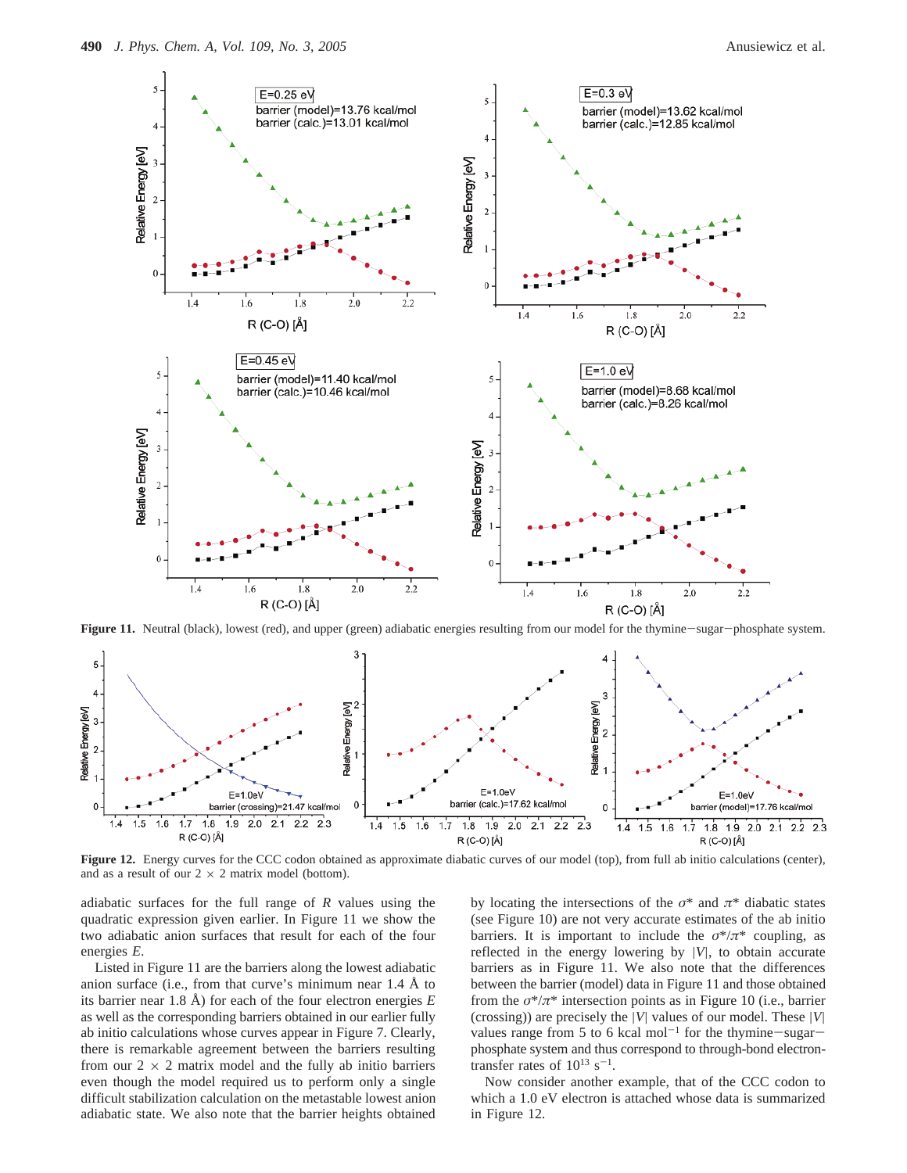

**Figure 11.** Neutral (black), lowest (red), and upper (green) adiabatic energies resulting from our model for the thymine-sugar-phosphate system.



Figure 12. Energy curves for the CCC codon obtained as approximate diabatic curves of our model (top), from full ab initio calculations (center), and as a result of our  $2 \times 2$  matrix model (bottom).

adiabatic surfaces for the full range of *R* values using the quadratic expression given earlier. In Figure 11 we show the two adiabatic anion surfaces that result for each of the four energies *E*.

Listed in Figure 11 are the barriers along the lowest adiabatic anion surface (i.e., from that curve's minimum near 1.4 Å to its barrier near 1.8 Å) for each of the four electron energies *E* as well as the corresponding barriers obtained in our earlier fully ab initio calculations whose curves appear in Figure 7. Clearly, there is remarkable agreement between the barriers resulting from our  $2 \times 2$  matrix model and the fully ab initio barriers even though the model required us to perform only a single difficult stabilization calculation on the metastable lowest anion adiabatic state. We also note that the barrier heights obtained

by locating the intersections of the  $\sigma^*$  and  $\pi^*$  diabatic states (see Figure 10) are not very accurate estimates of the ab initio barriers. It is important to include the  $\sigma^*/\pi^*$  coupling, as reflected in the energy lowering by |*V*|, to obtain accurate barriers as in Figure 11. We also note that the differences between the barrier (model) data in Figure 11 and those obtained from the  $\sigma^*/\pi^*$  intersection points as in Figure 10 (i.e., barrier (crossing)) are precisely the |*V*| values of our model. These |*V*| values range from 5 to 6 kcal mol<sup>-1</sup> for the thymine-sugarphosphate system and thus correspond to through-bond electrontransfer rates of  $10^{13}$  s<sup>-1</sup>.

Now consider another example, that of the CCC codon to which a 1.0 eV electron is attached whose data is summarized in Figure 12.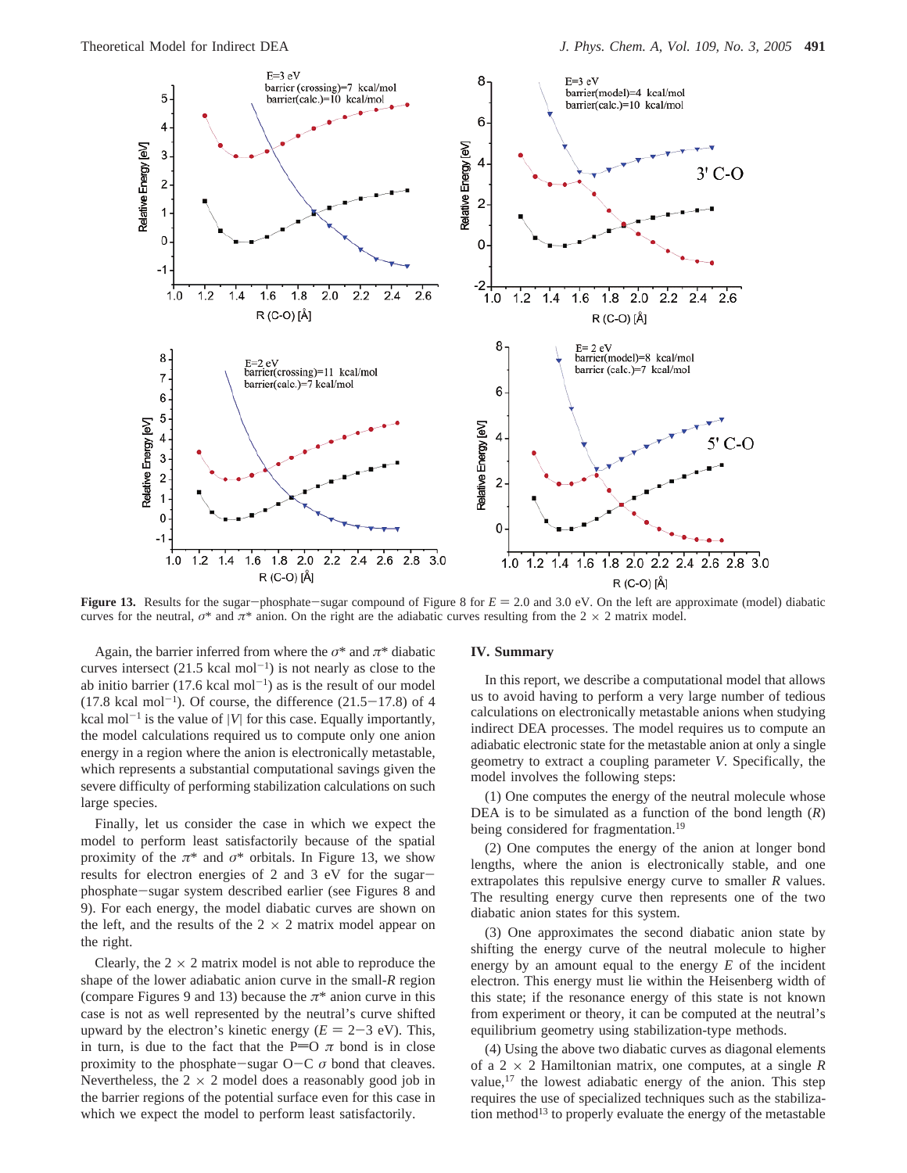

**Figure 13.** Results for the sugar-phosphate-sugar compound of Figure 8 for  $E = 2.0$  and 3.0 eV. On the left are approximate (model) diabatic curves for the neutral,  $\sigma^*$  and  $\pi^*$  anion. On the right are the adiabatic curves resulting from the 2  $\times$  2 matrix model.

Again, the barrier inferred from where the  $\sigma^*$  and  $\pi^*$  diabatic curves intersect  $(21.5 \text{ kcal mol}^{-1})$  is not nearly as close to the ab initio barrier  $(17.6 \text{ kcal mol}^{-1})$  as is the result of our model  $(17.8 \text{ kcal mol}^{-1})$ . Of course, the difference  $(21.5-17.8)$  of 4 kcal mol<sup>-1</sup> is the value of |*V*| for this case. Equally importantly, the model calculations required us to compute only one anion energy in a region where the anion is electronically metastable, which represents a substantial computational savings given the severe difficulty of performing stabilization calculations on such large species.

Finally, let us consider the case in which we expect the model to perform least satisfactorily because of the spatial proximity of the  $\pi^*$  and  $\sigma^*$  orbitals. In Figure 13, we show results for electron energies of 2 and 3 eV for the sugarphosphate-sugar system described earlier (see Figures 8 and 9). For each energy, the model diabatic curves are shown on the left, and the results of the  $2 \times 2$  matrix model appear on the right.

Clearly, the  $2 \times 2$  matrix model is not able to reproduce the shape of the lower adiabatic anion curve in the small-*R* region (compare Figures 9 and 13) because the  $\pi^*$  anion curve in this case is not as well represented by the neutral's curve shifted upward by the electron's kinetic energy  $(E = 2-3 \text{ eV})$ . This, in turn, is due to the fact that the P=O  $\pi$  bond is in close proximity to the phosphate-sugar  $O-C \sigma$  bond that cleaves. Nevertheless, the  $2 \times 2$  model does a reasonably good job in the barrier regions of the potential surface even for this case in which we expect the model to perform least satisfactorily.

#### **IV. Summary**

In this report, we describe a computational model that allows us to avoid having to perform a very large number of tedious calculations on electronically metastable anions when studying indirect DEA processes. The model requires us to compute an adiabatic electronic state for the metastable anion at only a single geometry to extract a coupling parameter *V*. Specifically, the model involves the following steps:

(1) One computes the energy of the neutral molecule whose DEA is to be simulated as a function of the bond length  $(R)$ being considered for fragmentation.<sup>19</sup>

(2) One computes the energy of the anion at longer bond lengths, where the anion is electronically stable, and one extrapolates this repulsive energy curve to smaller *R* values. The resulting energy curve then represents one of the two diabatic anion states for this system.

(3) One approximates the second diabatic anion state by shifting the energy curve of the neutral molecule to higher energy by an amount equal to the energy *E* of the incident electron. This energy must lie within the Heisenberg width of this state; if the resonance energy of this state is not known from experiment or theory, it can be computed at the neutral's equilibrium geometry using stabilization-type methods.

(4) Using the above two diabatic curves as diagonal elements of a 2 × 2 Hamiltonian matrix, one computes, at a single *R* value,<sup>17</sup> the lowest adiabatic energy of the anion. This step requires the use of specialized techniques such as the stabilization method<sup>13</sup> to properly evaluate the energy of the metastable